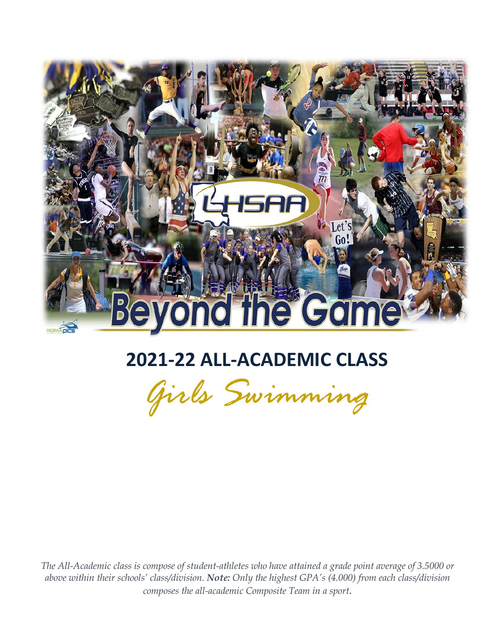

# **2021-22 ALL-ACADEMIC CLASS**



 *The All-Academic class is compose of student-athletes who have attained a grade point average of 3.5000 or above within their schools' class/division. Note: Only the highest GPA's (4.000) from each class/division composes the all-academic Composite Team in a sport.*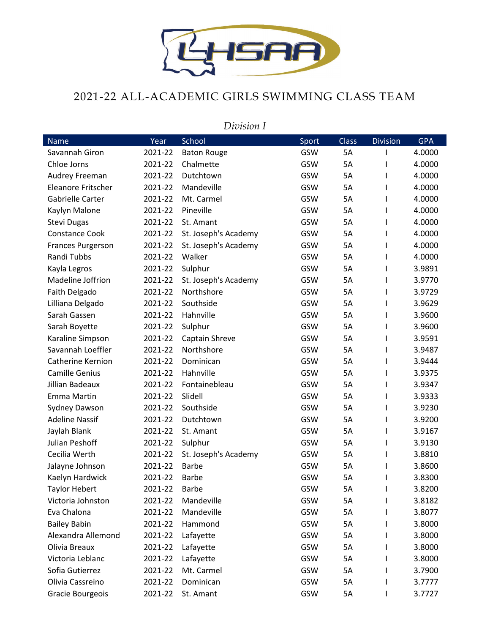

## 2021-22 ALL-ACADEMIC GIRLS SWIMMING CLASS TEAM

#### *Division I*

| <b>Name</b>              | Year    | School               | Sport | Class | <b>Division</b> | <b>GPA</b> |
|--------------------------|---------|----------------------|-------|-------|-----------------|------------|
| Savannah Giron           | 2021-22 | <b>Baton Rouge</b>   | GSW   | 5A    |                 | 4.0000     |
| Chloe Jorns              | 2021-22 | Chalmette            | GSW   | 5A    |                 | 4.0000     |
| Audrey Freeman           | 2021-22 | Dutchtown            | GSW   | 5A    | L               | 4.0000     |
| Eleanore Fritscher       | 2021-22 | Mandeville           | GSW   | 5A    |                 | 4.0000     |
| Gabrielle Carter         | 2021-22 | Mt. Carmel           | GSW   | 5A    |                 | 4.0000     |
| Kaylyn Malone            | 2021-22 | Pineville            | GSW   | 5A    |                 | 4.0000     |
| <b>Stevi Dugas</b>       | 2021-22 | St. Amant            | GSW   | 5A    | ı               | 4.0000     |
| <b>Constance Cook</b>    | 2021-22 | St. Joseph's Academy | GSW   | 5A    | L               | 4.0000     |
| <b>Frances Purgerson</b> | 2021-22 | St. Joseph's Academy | GSW   | 5A    |                 | 4.0000     |
| Randi Tubbs              | 2021-22 | Walker               | GSW   | 5A    |                 | 4.0000     |
| Kayla Legros             | 2021-22 | Sulphur              | GSW   | 5A    |                 | 3.9891     |
| Madeline Joffrion        | 2021-22 | St. Joseph's Academy | GSW   | 5A    | ı               | 3.9770     |
| Faith Delgado            | 2021-22 | Northshore           | GSW   | 5A    | L               | 3.9729     |
| Lilliana Delgado         | 2021-22 | Southside            | GSW   | 5A    |                 | 3.9629     |
| Sarah Gassen             | 2021-22 | Hahnville            | GSW   | 5A    |                 | 3.9600     |
| Sarah Boyette            | 2021-22 | Sulphur              | GSW   | 5A    |                 | 3.9600     |
| Karaline Simpson         | 2021-22 | Captain Shreve       | GSW   | 5A    |                 | 3.9591     |
| Savannah Loeffler        | 2021-22 | Northshore           | GSW   | 5A    | L               | 3.9487     |
| Catherine Kernion        | 2021-22 | Dominican            | GSW   | 5A    |                 | 3.9444     |
| <b>Camille Genius</b>    | 2021-22 | Hahnville            | GSW   | 5A    |                 | 3.9375     |
| Jillian Badeaux          | 2021-22 | Fontainebleau        | GSW   | 5A    |                 | 3.9347     |
| <b>Emma Martin</b>       | 2021-22 | Slidell              | GSW   | 5A    |                 | 3.9333     |
| Sydney Dawson            | 2021-22 | Southside            | GSW   | 5A    |                 | 3.9230     |
| <b>Adeline Nassif</b>    | 2021-22 | Dutchtown            | GSW   | 5A    |                 | 3.9200     |
| Jaylah Blank             | 2021-22 | St. Amant            | GSW   | 5A    |                 | 3.9167     |
| Julian Peshoff           | 2021-22 | Sulphur              | GSW   | 5A    |                 | 3.9130     |
| Cecilia Werth            | 2021-22 | St. Joseph's Academy | GSW   | 5A    |                 | 3.8810     |
| Jalayne Johnson          | 2021-22 | <b>Barbe</b>         | GSW   | 5A    | I               | 3.8600     |
| Kaelyn Hardwick          | 2021-22 | <b>Barbe</b>         | GSW   | 5A    |                 | 3.8300     |
| <b>Taylor Hebert</b>     | 2021-22 | Barbe                | GSW   | 5A    |                 | 3.8200     |
| Victoria Johnston        | 2021-22 | Mandeville           | GSW   | 5А    |                 | 3.8182     |
| Eva Chalona              | 2021-22 | Mandeville           | GSW   | 5A    |                 | 3.8077     |
| <b>Bailey Babin</b>      | 2021-22 | Hammond              | GSW   | 5A    |                 | 3.8000     |
| Alexandra Allemond       | 2021-22 | Lafayette            | GSW   | 5A    |                 | 3.8000     |
| Olivia Breaux            | 2021-22 | Lafayette            | GSW   | 5A    |                 | 3.8000     |
| Victoria Leblanc         | 2021-22 | Lafayette            | GSW   | 5A    |                 | 3.8000     |
| Sofia Gutierrez          | 2021-22 | Mt. Carmel           | GSW   | 5A    |                 | 3.7900     |
| Olivia Cassreino         | 2021-22 | Dominican            | GSW   | 5A    |                 | 3.7777     |
| Gracie Bourgeois         | 2021-22 | St. Amant            | GSW   | 5A    |                 | 3.7727     |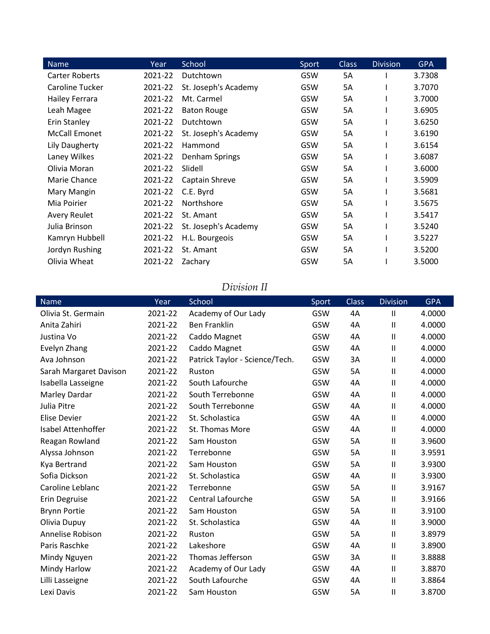| <b>Name</b>           | Year    | School               | Sport | <b>Class</b> | <b>Division</b> | <b>GPA</b> |
|-----------------------|---------|----------------------|-------|--------------|-----------------|------------|
| <b>Carter Roberts</b> | 2021-22 | Dutchtown            | GSW   | 5A           |                 | 3.7308     |
| Caroline Tucker       | 2021-22 | St. Joseph's Academy | GSW   | 5Α           |                 | 3.7070     |
| Hailey Ferrara        | 2021-22 | Mt. Carmel           | GSW   | 5A           |                 | 3.7000     |
| Leah Magee            | 2021-22 | <b>Baton Rouge</b>   | GSW   | 5А           |                 | 3.6905     |
| Erin Stanley          | 2021-22 | Dutchtown            | GSW   | 5A           |                 | 3.6250     |
| <b>McCall Emonet</b>  | 2021-22 | St. Joseph's Academy | GSW   | 5A           |                 | 3.6190     |
| Lily Daugherty        | 2021-22 | Hammond              | GSW   | 5A           |                 | 3.6154     |
| Laney Wilkes          | 2021-22 | Denham Springs       | GSW   | 5A           |                 | 3.6087     |
| Olivia Moran          | 2021-22 | Slidell              | GSW   | 5A           |                 | 3.6000     |
| Marie Chance          | 2021-22 | Captain Shreve       | GSW   | 5A           |                 | 3.5909     |
| Mary Mangin           | 2021-22 | C.E. Byrd            | GSW   | 5A           |                 | 3.5681     |
| Mia Poirier           | 2021-22 | Northshore           | GSW   | 5A           |                 | 3.5675     |
| <b>Avery Reulet</b>   | 2021-22 | St. Amant            | GSW   | 5A           |                 | 3.5417     |
| Julia Brinson         | 2021-22 | St. Joseph's Academy | GSW   | 5A           |                 | 3.5240     |
| Kamryn Hubbell        | 2021-22 | H.L. Bourgeois       | GSW   | 5A           |                 | 3.5227     |
| Jordyn Rushing        | 2021-22 | St. Amant            | GSW   | 5A           |                 | 3.5200     |
| Olivia Wheat          | 2021-22 | Zachary              | GSW   | 5Α           |                 | 3.5000     |

## *Division II*

| <b>Name</b>            | Year    | School                         | Sport | Class     | <b>Division</b> | <b>GPA</b> |
|------------------------|---------|--------------------------------|-------|-----------|-----------------|------------|
| Olivia St. Germain     | 2021-22 | Academy of Our Lady            | GSW   | 4A        | $\mathbf{I}$    | 4.0000     |
| Anita Zahiri           | 2021-22 | <b>Ben Franklin</b>            | GSW   | 4A        | $\mathbf{I}$    | 4.0000     |
| Justina Vo             | 2021-22 | Caddo Magnet                   | GSW   | 4A        | $\mathbf{I}$    | 4.0000     |
| Evelyn Zhang           | 2021-22 | Caddo Magnet                   | GSW   | 4A        | $\mathbf{I}$    | 4.0000     |
| Ava Johnson            | 2021-22 | Patrick Taylor - Science/Tech. | GSW   | 3A        | $\mathbf{I}$    | 4.0000     |
| Sarah Margaret Davison | 2021-22 | Ruston                         | GSW   | 5A        | $\mathbf{I}$    | 4.0000     |
| Isabella Lasseigne     | 2021-22 | South Lafourche                | GSW   | 4A        | $\mathbf{I}$    | 4.0000     |
| Marley Dardar          | 2021-22 | South Terrebonne               | GSW   | 4A        | $\mathbf{I}$    | 4.0000     |
| Julia Pitre            | 2021-22 | South Terrebonne               | GSW   | 4A        | $\mathbf{I}$    | 4.0000     |
| <b>Elise Devier</b>    | 2021-22 | St. Scholastica                | GSW   | 4A        | $\mathbf{I}$    | 4.0000     |
| Isabel Attenhoffer     | 2021-22 | St. Thomas More                | GSW   | 4A        | $\mathbf{I}$    | 4.0000     |
| Reagan Rowland         | 2021-22 | Sam Houston                    | GSW   | <b>5A</b> | $\mathbf{I}$    | 3.9600     |
| Alyssa Johnson         | 2021-22 | Terrebonne                     | GSW   | 5A        | $\sf II$        | 3.9591     |
| Kya Bertrand           | 2021-22 | Sam Houston                    | GSW   | 5A        | $\mathbf{I}$    | 3.9300     |
| Sofia Dickson          | 2021-22 | St. Scholastica                | GSW   | 4A        | $\sf II$        | 3.9300     |
| Caroline Leblanc       | 2021-22 | Terrebonne                     | GSW   | 5A        | $\mathbf{I}$    | 3.9167     |
| Erin Degruise          | 2021-22 | <b>Central Lafourche</b>       | GSW   | 5A        | $\mathbf{I}$    | 3.9166     |
| <b>Brynn Portie</b>    | 2021-22 | Sam Houston                    | GSW   | <b>5A</b> | $\mathbf{I}$    | 3.9100     |
| Olivia Dupuy           | 2021-22 | St. Scholastica                | GSW   | 4A        | $\mathbf{I}$    | 3.9000     |
| Annelise Robison       | 2021-22 | Ruston                         | GSW   | 5A        | $\mathbf{I}$    | 3.8979     |
| Paris Raschke          | 2021-22 | Lakeshore                      | GSW   | 4A        | $\mathbf{I}$    | 3.8900     |
| Mindy Nguyen           | 2021-22 | Thomas Jefferson               | GSW   | 3A        | $\mathbf{I}$    | 3.8888     |
| Mindy Harlow           | 2021-22 | Academy of Our Lady            | GSW   | 4A        | $\mathbf{I}$    | 3.8870     |
| Lilli Lasseigne        | 2021-22 | South Lafourche                | GSW   | 4A        | $\mathbf{I}$    | 3.8864     |
| Lexi Davis             | 2021-22 | Sam Houston                    | GSW   | 5A        | Ш               | 3.8700     |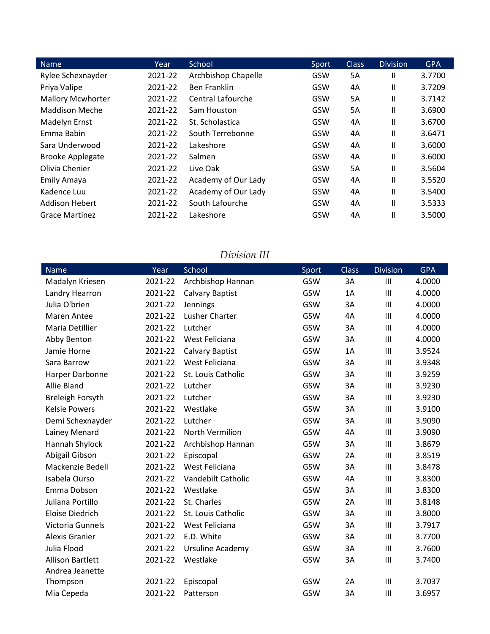| <b>Name</b>              | Year    | School              | Sport | <b>Class</b> | <b>Division</b> | <b>GPA</b> |
|--------------------------|---------|---------------------|-------|--------------|-----------------|------------|
| Rylee Schexnayder        | 2021-22 | Archbishop Chapelle | GSW   | 5A           | Ш               | 3.7700     |
| Priya Valipe             | 2021-22 | <b>Ben Franklin</b> | GSW   | 4A           | Ш               | 3.7209     |
| <b>Mallory Mcwhorter</b> | 2021-22 | Central Lafourche   | GSW   | 5A           | Ш               | 3.7142     |
| <b>Maddison Meche</b>    | 2021-22 | Sam Houston         | GSW   | 5A           | Ш               | 3.6900     |
| <b>Madelyn Ernst</b>     | 2021-22 | St. Scholastica     | GSW   | 4Α           | Ш               | 3.6700     |
| Emma Babin               | 2021-22 | South Terrebonne    | GSW   | 4A           | Ш               | 3.6471     |
| Sara Underwood           | 2021-22 | Lakeshore           | GSW   | 4A           | Ш               | 3.6000     |
| <b>Brooke Applegate</b>  | 2021-22 | Salmen              | GSW   | 4A           | Ш               | 3.6000     |
| Olivia Chenier           | 2021-22 | Live Oak            | GSW   | <b>5A</b>    | Ш               | 3.5604     |
| <b>Emily Amaya</b>       | 2021-22 | Academy of Our Lady | GSW   | 4A           | Ш               | 3.5520     |
| Kadence Luu              | 2021-22 | Academy of Our Lady | GSW   | 4A           | Ш               | 3.5400     |
| <b>Addison Hebert</b>    | 2021-22 | South Lafourche     | GSW   | 4Α           | $\mathsf{II}$   | 3.5333     |
| <b>Grace Martinez</b>    | 2021-22 | Lakeshore           | GSW   | 4A           | Ш               | 3.5000     |

## *Division III*

| <b>Name</b>             | Year    | School             | Sport | <b>Class</b> | <b>Division</b> | <b>GPA</b> |
|-------------------------|---------|--------------------|-------|--------------|-----------------|------------|
| Madalyn Kriesen         | 2021-22 | Archbishop Hannan  | GSW   | 3A           | Ш               | 4.0000     |
| Landry Hearron          | 2021-22 | Calvary Baptist    | GSW   | 1A           | Ш               | 4.0000     |
| Julia O'brien           | 2021-22 | Jennings           | GSW   | 3A           | Ш               | 4.0000     |
| Maren Antee             | 2021-22 | Lusher Charter     | GSW   | 4A           | III             | 4.0000     |
| Maria Detillier         | 2021-22 | Lutcher            | GSW   | 3A           | Ш               | 4.0000     |
| Abby Benton             | 2021-22 | West Feliciana     | GSW   | 3A           | III             | 4.0000     |
| Jamie Horne             | 2021-22 | Calvary Baptist    | GSW   | 1A           | Ш               | 3.9524     |
| Sara Barrow             | 2021-22 | West Feliciana     | GSW   | 3A           | Ш               | 3.9348     |
| Harper Darbonne         | 2021-22 | St. Louis Catholic | GSW   | 3A           | Ш               | 3.9259     |
| Allie Bland             | 2021-22 | Lutcher            | GSW   | 3A           | Ш               | 3.9230     |
| <b>Breleigh Forsyth</b> | 2021-22 | Lutcher            | GSW   | 3A           | III             | 3.9230     |
| <b>Kelsie Powers</b>    | 2021-22 | Westlake           | GSW   | 3A           | Ш               | 3.9100     |
| Demi Schexnayder        | 2021-22 | Lutcher            | GSW   | 3A           | Ш               | 3.9090     |
| Lainey Menard           | 2021-22 | North Vermilion    | GSW   | 4A           | Ш               | 3.9090     |
| Hannah Shylock          | 2021-22 | Archbishop Hannan  | GSW   | 3A           | Ш               | 3.8679     |
| Abigail Gibson          | 2021-22 | Episcopal          | GSW   | 2A           | III             | 3.8519     |
| Mackenzie Bedell        | 2021-22 | West Feliciana     | GSW   | 3A           | Ш               | 3.8478     |
| Isabela Ourso           | 2021-22 | Vandebilt Catholic | GSW   | 4A           | III             | 3.8300     |
| Emma Dobson             | 2021-22 | Westlake           | GSW   | 3A           | Ш               | 3.8300     |
| Juliana Portillo        | 2021-22 | St. Charles        | GSW   | 2A           | Ш               | 3.8148     |
| <b>Eloise Diedrich</b>  | 2021-22 | St. Louis Catholic | GSW   | 3A           | Ш               | 3.8000     |
| Victoria Gunnels        | 2021-22 | West Feliciana     | GSW   | 3A           | Ш               | 3.7917     |
| <b>Alexis Granier</b>   | 2021-22 | E.D. White         | GSW   | 3A           | III             | 3.7700     |
| Julia Flood             | 2021-22 | Ursuline Academy   | GSW   | 3A           | III             | 3.7600     |
| <b>Allison Bartlett</b> | 2021-22 | Westlake           | GSW   | 3A           | Ш               | 3.7400     |
| Andrea Jeanette         |         |                    |       |              |                 |            |
| Thompson                | 2021-22 | Episcopal          | GSW   | 2A           | Ш               | 3.7037     |
| Mia Cepeda              | 2021-22 | Patterson          | GSW   | 3A           | Ш               | 3.6957     |